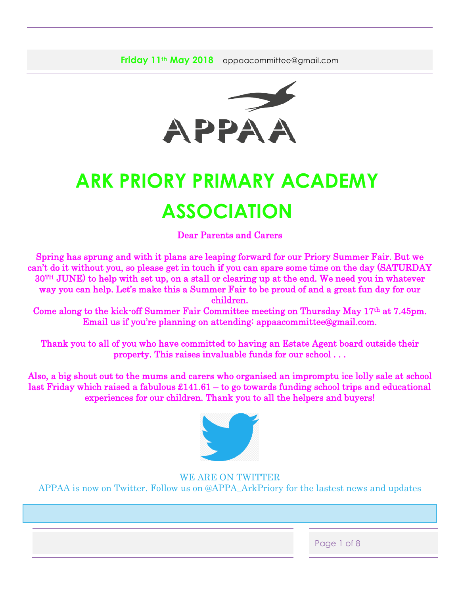

# **ARK PRIORY PRIMARY ACADEMY ASSOCIATION**

Dear Parents and Carers

Spring has sprung and with it plans are leaping forward for our Priory Summer Fair. But we can't do it without you, so please get in touch if you can spare some time on the day (SATURDAY 30TH JUNE) to help with set up, on a stall or clearing up at the end. We need you in whatever way you can help. Let's make this a Summer Fair to be proud of and a great fun day for our children.

Come along to the kick-off Summer Fair Committee meeting on Thursday May 17th at 7.45pm. Email us if you're planning on attending: appaacommittee@gmail.com.

Thank you to all of you who have committed to having an Estate Agent board outside their property. This raises invaluable funds for our school . . .

Also, a big shout out to the mums and carers who organised an impromptu ice lolly sale at school last Friday which raised a fabulous £141.61 – to go towards funding school trips and educational experiences for our children. Thank you to all the helpers and buyers!



WE ARE ON TWITTER APPAA is now on Twitter. Follow us on @APPA\_ArkPriory for the lastest news and updates

Page 1 of 8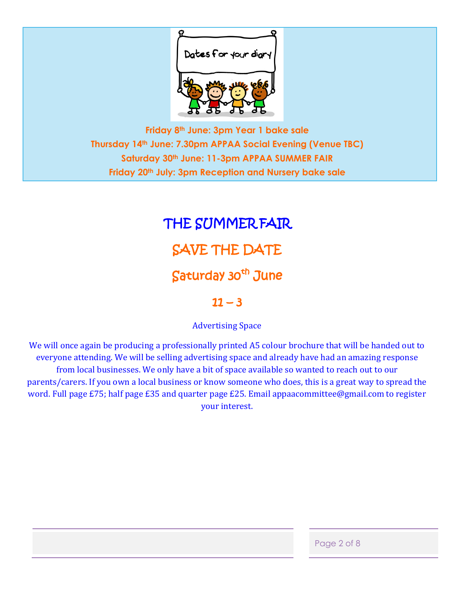

**Friday 8th June: 3pm Year 1 bake sale Thursday 14th June: 7.30pm APPAA Social Evening (Venue TBC) Saturday 30th June: 11-3pm APPAA SUMMER FAIR Friday 20th July: 3pm Reception and Nursery bake sale**

# THE SUMMER FAIR SAVE THE DATE Saturday 30<sup>th</sup> June

# $11 - 3$

Advertising Space

We will once again be producing a professionally printed A5 colour brochure that will be handed out to everyone attending. We will be selling advertising space and already have had an amazing response from local businesses. We only have a bit of space available so wanted to reach out to our parents/carers. If you own a local business or know someone who does, this is a great way to spread the word. Full page £75; half page £35 and quarter page £25. Email appaacommittee@gmail.com to register your interest.

Page 2 of 8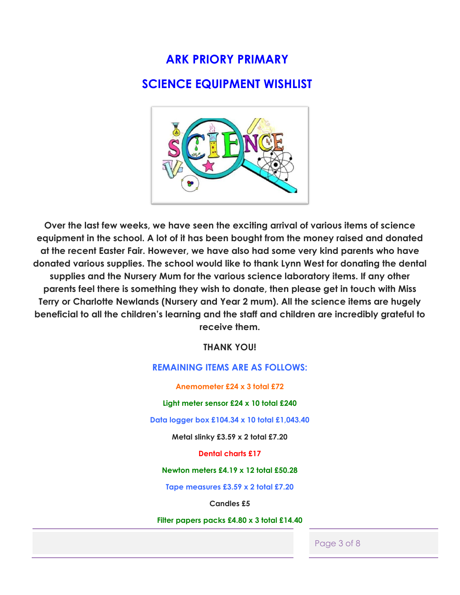# **ARK PRIORY PRIMARY**

# **SCIENCE EQUIPMENT WISHLIST**



**Over the last few weeks, we have seen the exciting arrival of various items of science equipment in the school. A lot of it has been bought from the money raised and donated at the recent Easter Fair. However, we have also had some very kind parents who have donated various supplies. The school would like to thank Lynn West for donating the dental supplies and the Nursery Mum for the various science laboratory items. If any other parents feel there is something they wish to donate, then please get in touch with Miss Terry or Charlotte Newlands (Nursery and Year 2 mum). All the science items are hugely beneficial to all the children's learning and the staff and children are incredibly grateful to receive them.** 

**THANK YOU!**

### **REMAINING ITEMS ARE AS FOLLOWS:**

**Anemometer £24 x 3 total £72**

**Light meter sensor £24 x 10 total £240**

**Data logger box £104.34 x 10 total £1,043.40**

**Metal slinky £3.59 x 2 total £7.20**

**Dental charts £17**

**Newton meters £4.19 x 12 total £50.28**

**Tape measures £3.59 x 2 total £7.20**

**Candles £5**

**Filter papers packs £4.80 x 3 total £14.40**

Page 3 of 8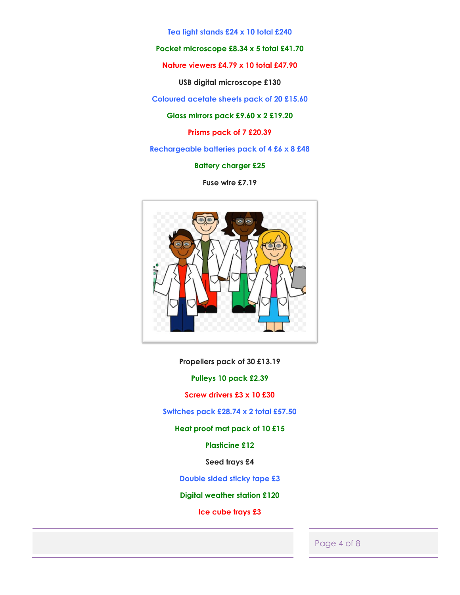**Tea light stands £24 x 10 total £240**

**Pocket microscope £8.34 x 5 total £41.70**

**Nature viewers £4.79 x 10 total £47.90**

**USB digital microscope £130**

**Coloured acetate sheets pack of 20 £15.60**

**Glass mirrors pack £9.60 x 2 £19.20**

**Prisms pack of 7 £20.39**

**Rechargeable batteries pack of 4 £6 x 8 £48**

**Battery charger £25**

**Fuse wire £7.19**



**Propellers pack of 30 £13.19**

**Pulleys 10 pack £2.39**

**Screw drivers £3 x 10 £30**

**Switches pack £28.74 x 2 total £57.50**

**Heat proof mat pack of 10 £15**

**Plasticine £12**

**Seed trays £4**

**Double sided sticky tape £3**

**Digital weather station £120**

**Ice cube trays £3**

#### Page 4 of 8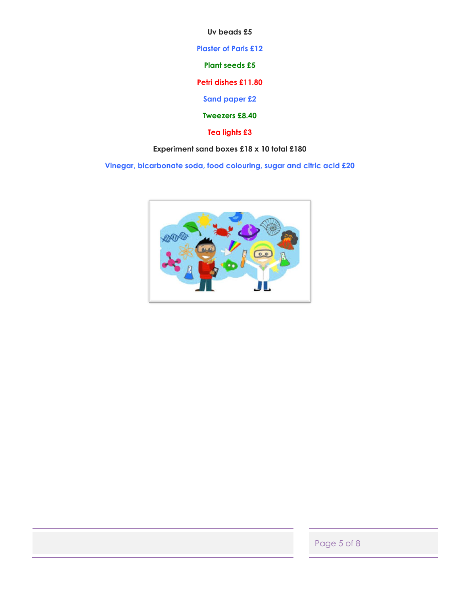**Uv beads £5**

**Plaster of Paris £12**

**Plant seeds £5**

**Petri dishes £11.80**

**Sand paper £2**

**Tweezers £8.40**

**Tea lights £3**

## **Experiment sand boxes £18 x 10 total £180**

**Vinegar, bicarbonate soda, food colouring, sugar and citric acid £20**



Page 5 of 8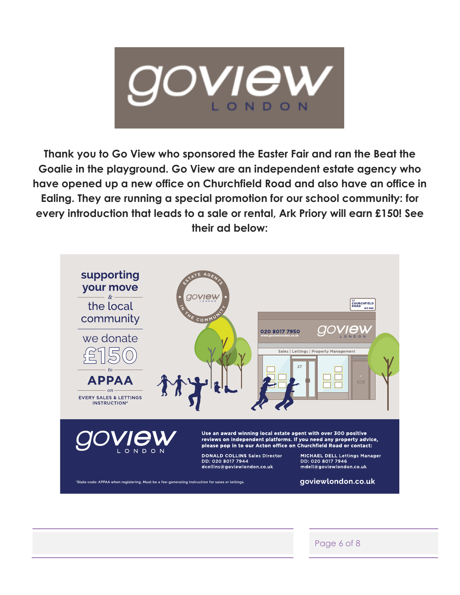

**Thank you to Go View who sponsored the Easter Fair and ran the Beat the Goalie in the playground. Go View are an independent estate agency who have opened up a new office on Churchfield Road and also have an office in Ealing. They are running a special promotion for our school community: for every introduction that leads to a sale or rental, Ark Priory will earn £150! See their ad below:**



Page 6 of 8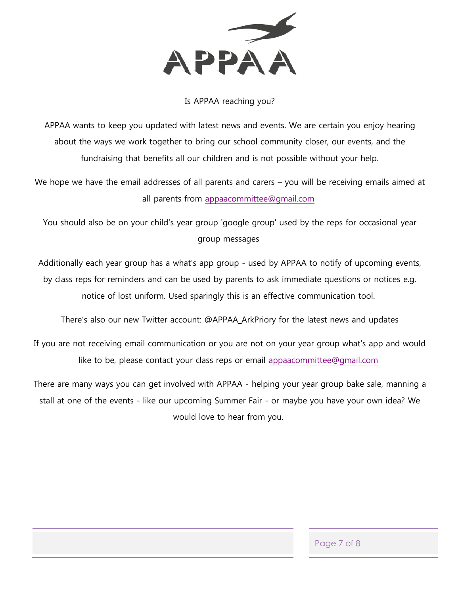

## Is APPAA reaching you?

APPAA wants to keep you updated with latest news and events. We are certain you enjoy hearing about the ways we work together to bring our school community closer, our events, and the fundraising that benefits all our children and is not possible without your help.

We hope we have the email addresses of all parents and carers – you will be receiving emails aimed at all parents from [appaacommittee@gmail.com](mailto:appaacommittee@gmail.com)

You should also be on your child's year group 'google group' used by the reps for occasional year group messages

Additionally each year group has a what's app group - used by APPAA to notify of upcoming events, by class reps for reminders and can be used by parents to ask immediate questions or notices e.g. notice of lost uniform. Used sparingly this is an effective communication tool.

There's also our new Twitter account: @APPAA\_ArkPriory for the latest news and updates

If you are not receiving email communication or you are not on your year group what's app and would like to be, please contact your class reps or email [appaacommittee@gmail.com](mailto:appaacommittee@gmail.com)

There are many ways you can get involved with APPAA - helping your year group bake sale, manning a stall at one of the events - like our upcoming Summer Fair - or maybe you have your own idea? We would love to hear from you.

Page 7 of 8